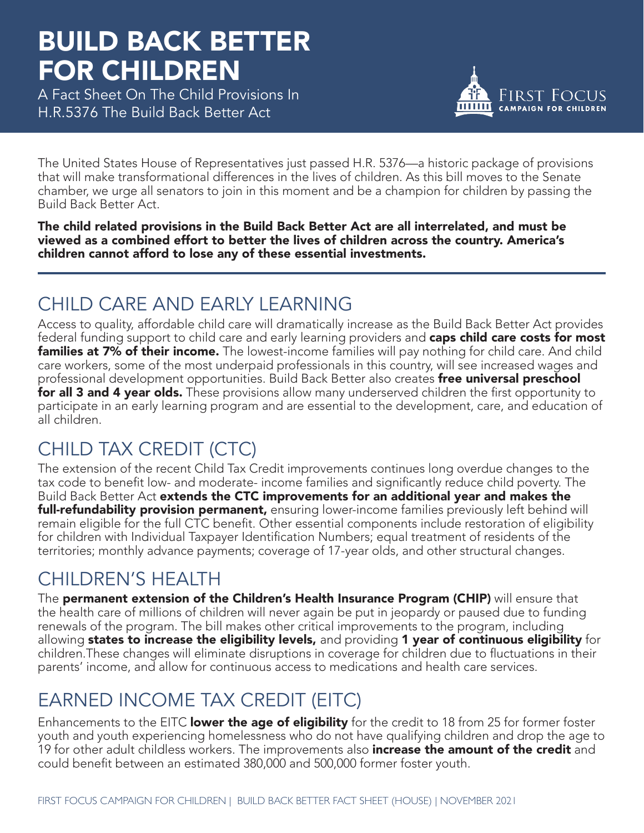# BUILD BACK BETTER FOR CHILDREN

A Fact Sheet On The Child Provisions In H.R.5376 The Build Back Better Act



The United States House of Representatives just passed H.R. 5376—a historic package of provisions that will make transformational differences in the lives of children. As this bill moves to the Senate chamber, we urge all senators to join in this moment and be a champion for children by passing the Build Back Better Act.

The child related provisions in the Build Back Better Act are all interrelated, and must be viewed as a combined effort to better the lives of children across the country. America's children cannot afford to lose any of these essential investments.

### CHILD CARE AND EARLY LEARNING

Access to quality, affordable child care will dramatically increase as the Build Back Better Act provides federal funding support to child care and early learning providers and caps child care costs for most **families at 7% of their income.** The lowest-income families will pay nothing for child care. And child care workers, some of the most underpaid professionals in this country, will see increased wages and professional development opportunities. Build Back Better also creates free universal preschool for all 3 and 4 year olds. These provisions allow many underserved children the first opportunity to participate in an early learning program and are essential to the development, care, and education of all children.

### CHILD TAX CREDIT (CTC)

The extension of the recent Child Tax Credit improvements continues long overdue changes to the tax code to benefit low- and moderate- income families and significantly reduce child poverty. The Build Back Better Act extends the CTC improvements for an additional year and makes the full-refundability provision permanent, ensuring lower-income families previously left behind will remain eligible for the full CTC benefit. Other essential components include restoration of eligibility for children with Individual Taxpayer Identification Numbers; equal treatment of residents of the territories; monthly advance payments; coverage of 17-year olds, and other structural changes.

### CHILDREN'S HEALTH

The permanent extension of the Children's Health Insurance Program (CHIP) will ensure that the health care of millions of children will never again be put in jeopardy or paused due to funding renewals of the program. The bill makes other critical improvements to the program, including allowing states to increase the eligibility levels, and providing 1 year of continuous eligibility for children.These changes will eliminate disruptions in coverage for children due to fluctuations in their parents' income, and allow for continuous access to medications and health care services.

### EARNED INCOME TAX CREDIT (EITC)

Enhancements to the EITC lower the age of eligibility for the credit to 18 from 25 for former foster youth and youth experiencing homelessness who do not have qualifying children and drop the age to 19 for other adult childless workers. The improvements also **increase the amount of the credit** and could benefit between an estimated 380,000 and 500,000 former foster youth.